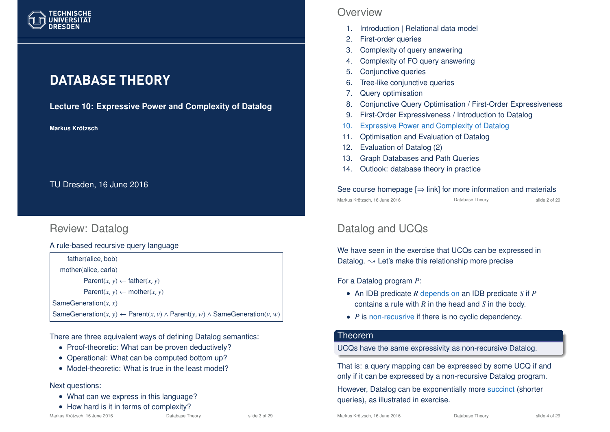

# **DATABASE THEORY**

**Lecture 10: Expressive Power and Complexity of Datalog**

**Markus Krotzsch ¨**

TU Dresden, 16 June 2016

# Review: Datalog

A rule-based recursive query language

father(alice, bob) mother(alice, carla) Parent $(x, y) \leftarrow$  father $(x, y)$  $Parent(x, y) \leftarrow mother(x, y)$ SameGeneration(*x*, *x*) SameGeneration(*x*, *y*) ← Parent(*x*, *v*) ∧ Parent(*y*, *w*) ∧ SameGeneration(*y*, *w*)

There are three equivalent ways of defining Datalog semantics:

- Proof-theoretic: What can be proven deductively?
- Operational: What can be computed bottom up?
- Model-theoretic: What is true in the least model?

#### Next questions:

- What can we express in this language?
- How hard is it in terms of complexity?<br> $\frac{1}{16}$  Kus Krötzsch, 16 June 2016

### **Overview**

- 1. Introduction | Relational data model
- 2. First-order queries
- 3. Complexity of query answering
- 4. Complexity of FO query answering
- 5. Conjunctive queries
- 6. Tree-like conjunctive queries
- 7. Query optimisation
- 8. Conjunctive Query Optimisation / First-Order Expressiveness
- 9. First-Order Expressiveness / Introduction to Datalog
- 10. Expressive Power and Complexity of Datalog
- 11. Optimisation and Evaluation of Datalog
- 12. Evaluation of Datalog (2)
- 13. Graph Databases and Path Queries
- 14. Outlook: database theory in practice

# See course homepage  $[\Rightarrow]$  link] for more information and materials<br>Markus Krötzsch 16. line 2016

Markus Krötzsch, 16 June 2016 Database Theory slide 2 of 29

# Datalog and UCQs

We have seen in the exercise that UCQs can be expressed in Datalog.  $\rightarrow$  Let's make this relationship more precise

For a Datalog program *P*:

- An IDB predicate *R* depends on an IDB predicate *S* if *P* contains a rule with *R* in the head and *S* in the body.
- *P* is non-recusrive if there is no cyclic dependency.

### Theorem

### UCQs have the same expressivity as non-recursive Datalog.

That is: a query mapping can be expressed by some UCQ if and only if it can be expressed by a non-recursive Datalog program.

However, Datalog can be exponentially more succinct (shorter queries), as illustrated in exercise.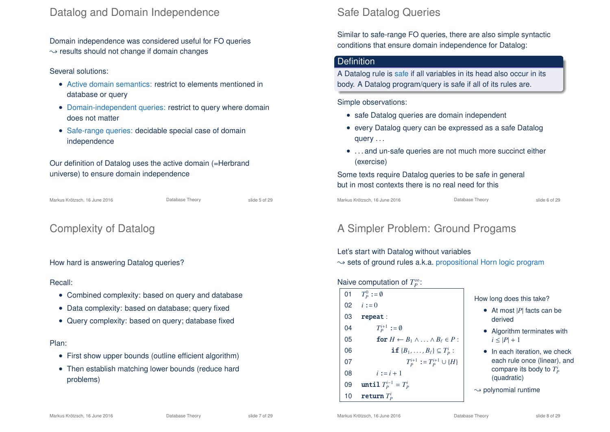### Datalog and Domain Independence

Domain independence was considered useful for FO queries  $\rightarrow$  results should not change if domain changes

#### Several solutions:

- Active domain semantics: restrict to elements mentioned in database or query
- Domain-independent queries: restrict to query where domain does not matter
- Safe-range queries: decidable special case of domain independence

Our definition of Datalog uses the active domain (=Herbrand universe) to ensure domain independence

Markus Krötzsch, 16 June 2016 Database Theory slide 5 of 29

### Complexity of Datalog

#### How hard is answering Datalog queries?

#### Recall:

- Combined complexity: based on query and database
- Data complexity: based on database; query fixed
- Query complexity: based on query; database fixed

#### Plan:

- First show upper bounds (outline efficient algorithm)
- Then establish matching lower bounds (reduce hard problems)

# Safe Datalog Queries

Similar to safe-range FO queries, there are also simple syntactic conditions that ensure domain independence for Datalog:

### **Definition**

A Datalog rule is safe if all variables in its head also occur in its body. A Datalog program/query is safe if all of its rules are.

Simple observations:

- safe Datalog queries are domain independent
- every Datalog query can be expressed as a safe Datalog query . . .
- . . . and un-safe queries are not much more succinct either (exercise)

Some texts require Datalog queries to be safe in general but in most contexts there is no real need for this

Markus Krötzsch, 16 June 2016 **Database Theory** Charles Krötzsch, 16 June 2016

### A Simpler Problem: Ground Progams

Let's start with Datalog without variables

 $\rightarrow$  sets of ground rules a.k.a. propositional Horn logic program

### Naive computation of *T*<sup>∞</sup>:

| 01 | $T_{\scriptscriptstyle D}^0 := \emptyset$                  |  |
|----|------------------------------------------------------------|--|
|    | 02 $i := 0$                                                |  |
| 03 | repeat:                                                    |  |
| 04 | $T_p^{i+1} := \emptyset$                                   |  |
| 05 | for $H \leftarrow B_1 \wedge \ldots \wedge B_\ell \in P$ : |  |
| 06 | <b>if</b> ${B_1, \ldots, B_\ell} \subseteq T_p^i$ :        |  |
| 07 | $T_p^{i+1} := T_p^{i+1} \cup \{H\}$                        |  |
| 08 | $i := i + 1$                                               |  |
| 09 | until $T_P^{i-1} = T_P^i$                                  |  |
| 10 | return $T_p^i$                                             |  |

How long does this take?

- At most |*P*| facts can be derived
- Algorithm terminates with  $i < |P| + 1$
- In each iteration, we check each rule once (linear), and compare its body to  $T_P^i$ (quadratic)

 $\rightarrow$  polynomial runtime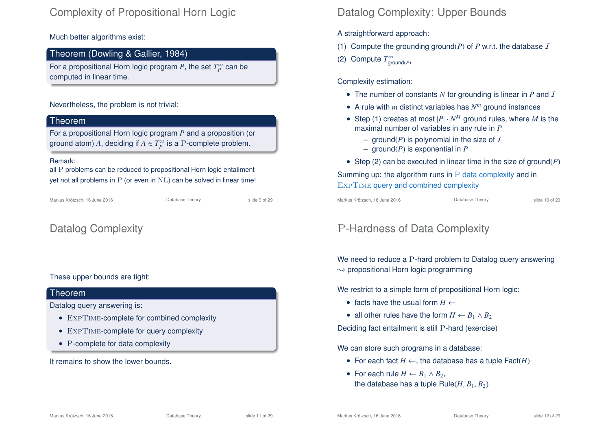### Complexity of Propositional Horn Logic

Much better algorithms exist:

### Theorem (Dowling & Gallier, 1984)

For a propositional Horn logic program  $P$ , the set  $T_P^{\infty}$  can be computed in linear time.

#### Nevertheless, the problem is not trivial:

### Theorem

For a propositional Horn logic program *P* and a proposition (or ground atom)  $A$ , deciding if  $A \in T_P^{\infty}$  is a P-complete problem.

#### Remark:

all P problems can be reduced to propositional Horn logic entailment yet not all problems in P (or even in NL) can be solved in linear time!

Markus Krötzsch, 16 June 2016 Database Theory slide 9 of 29

Datalog Complexity

#### These upper bounds are tight:

### Theorem

Datalog query answering is:

- EXPTIME-complete for combined complexity
- EXPTIME-complete for query complexity
- P-complete for data complexity

It remains to show the lower bounds.

# Datalog Complexity: Upper Bounds

A straightforward approach:

- (1) Compute the grounding ground( $P$ ) of  $P$  w.r.t. the database  $I$
- (2) Compute  $T^{\infty}_{\text{ground}(P)}$

Complexity estimation:

- The number of constants  $N$  for grounding is linear in  $P$  and  $T$
- A rule with *m* distinct variables has *N m* ground instances
- Step (1) creates at most  $|P| \cdot N^M$  ground rules, where M is the maximal number of variables in any rule in *P*
	- ground( $P$ ) is polynomial in the size of  $I$
	- ground(*P*) is exponential in *P*
- Step (2) can be executed in linear time in the size of ground(*P*)

Summing up: the algorithm runs in  $P$  data complexity and in ExpTime query and combined complexity

Markus Krötzsch, 16 June 2016 **Database Theory** Slide 10 of 29

# P-Hardness of Data Complexity

We need to reduce a P-hard problem to Datalog query answering  $\rightarrow$  propositional Horn logic programming

We restrict to a simple form of propositional Horn logic:

- facts have the usual form  $H \leftarrow$
- all other rules have the form  $H \leftarrow B_1 \wedge B_2$

Deciding fact entailment is still P-hard (exercise)

We can store such programs in a database:

- For each fact  $H \leftarrow$ , the database has a tuple  $\textsf{Fact}(H)$
- For each rule  $H \leftarrow B_1 \wedge B_2$ , the database has a tuple  $Rule(H, B_1, B_2)$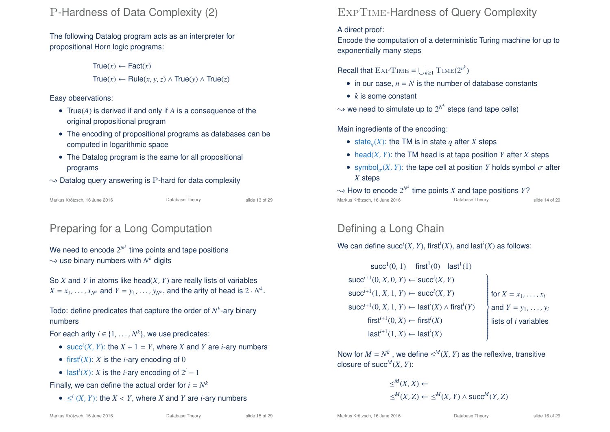### P-Hardness of Data Complexity (2)

The following Datalog program acts as an interpreter for propositional Horn logic programs:

> $True(x) \leftarrow \text{Fact}(x)$ True(*x*) ← Rule(*x*, *y*,*z*) ∧ True(*y*) ∧ True(*z*)

Easy observations:

- True(*A*) is derived if and only if *A* is a consequence of the original propositional program
- The encoding of propositional programs as databases can be computed in logarithmic space
- The Datalog program is the same for all propositional programs
- $\rightarrow$  Datalog query answering is P-hard for data complexity

Markus Krötzsch, 16 June 2016 **Database Theory** Slide 13 of 29

# Preparing for a Long Computation

We need to encode  $2^{N^k}$  time points and tape positions  $\rightsquigarrow$  use binary numbers with  $N^k$  digits

So *X* and *Y* in atoms like head(*X*, *Y*) are really lists of variables  $X = x_1, \ldots, x_{N^k}$  and  $Y = y_1, \ldots, y_{N^k}$ , and the arity of head is  $2 \cdot N^k$ .

Todo: define predicates that capture the order of  $N^k$ -ary binary numbers

For each arity  $i \in \{1, ..., N^k\}$ , we use predicates:

- succ<sup>*i*</sup>(*X*, *Y*): the *X* + 1 = *Y*, where *X* and *Y* are *i*-ary numbers
- first<sup>*i*</sup>(*X*): *X* is the *i*-ary encoding of 0
- last<sup>*i*</sup>(*X*): *X* is the *i*-ary encoding of  $2^i 1$

Finally, we can define the actual order for  $i = N^k$ 

•  $\leq^{i} (X, Y)$ : the  $X < Y$ , where  $X$  and  $Y$  are  $i$ -ary numbers

# ExpTime-Hardness of Query Complexity

### A direct proof:

Encode the computation of a deterministic Turing machine for up to exponentially many steps

# Recall that  $\text{ExpTime} = \bigcup_{k \geq 1} \text{Time}(2^{n^k})$

- in our case,  $n = N$  is the number of database constants
- *k* is some constant

 $\rightsquigarrow$  we need to simulate up to  $2^{N^k}$  steps (and tape cells)

Main ingredients of the encoding:

- state<sub>*q*</sub>(*X*): the TM is in state *q* after *X* steps
- head $(X, Y)$ : the TM head is at tape position *Y* after *X* steps
- symbol $_{\sigma}(X, Y)$ : the tape cell at position *Y* holds symbol  $\sigma$  after *X* steps
- $\sim$  How to encode  $2^{N^k}$  time points  $X$  and tape positions  $Y$ ? Markus Krötzsch, 16 June 2016 **Database Theory** Slide 14 of 29

# Defining a Long Chain

We can define  $\mathsf{succ}^i(X, Y)$ , first $^i(X)$ , and last $^i(X)$  as follows:

 $succ<sup>1</sup>(0, 1)$  first<sup>1</sup>(0) last<sup>1</sup>(1)  $succ^{i+1}(0, X, 0, Y) \leftarrow succ^{i}(X, Y)$  $succ^{i+1}(1, X, 1, Y) \leftarrow succ^{i}(X, Y)$ succ<sup>*i*+1</sup>(0, *X*, 1, *Y*) ← last<sup>*i*</sup>(*X*) ∧ first<sup>*i*</sup>(*Y*)  $\overline{ }$  $\overline{\phantom{a}}$  $\begin{array}{c} \hline \end{array}$ for  $X = x_1, \ldots, x_i$ and  $Y = y_1, \ldots, y_i$  $first^{i+1}(0, X) \leftarrow first^{i}(X)$  *lists of <i>i* variables  $\mathsf{last}^{i+1}(1,X) \leftarrow \mathsf{last}^{i}(X)$ 

Now for  $M = N^k$ , we define  $\leq^M (X, Y)$  as the reflexive, transitive closure of succ<sup> $M$ </sup> $(X, Y)$ :

$$
\leq^M (X, X) \leftarrow
$$
  

$$
\leq^M (X, Z) \leftarrow \leq^M (X, Y) \land succ^M (Y, Z)
$$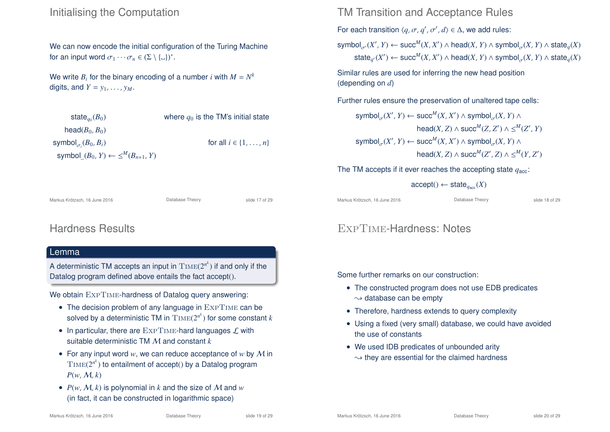### Initialising the Computation

We can now encode the initial configuration of the Turing Machine for an input word  $\sigma_1 \cdots \sigma_n \in (\Sigma \setminus {\{\_ \}})^*$ .

We write  $B_i$  for the binary encoding of a number *i* with  $M = N^k$ digits, and  $Y = y_1, \ldots, y_M$ .

| state <sub>ao</sub> $(B_0)$                      | where $q_0$ is the TM's initial state |
|--------------------------------------------------|---------------------------------------|
| head $(B_0, B_0)$                                |                                       |
| symbol $_{\sigma_i}(B_0, B_i)$                   | for all $i \in \{1, \ldots, n\}$      |
| symbol $(B_0, Y) \leftarrow \leq^M (B_{n+1}, Y)$ |                                       |

### TM Transition and Acceptance Rules

For each transition  $\langle q, \sigma, q', \sigma', d \rangle \in \Delta$ , we add rules:

 ${\sf symbol}_{\sigma'}(X',Y) \leftarrow {\sf succ}^M(X,X') \land {\sf head}(X,Y) \land {\sf symbol}_{\sigma}(X,Y) \land {\sf state}_q(X)$  $\mathsf{state}_{q'}(X') \leftarrow \mathsf{succ}^M(X, X') \land \mathsf{head}(X, Y) \land \mathsf{symbol}_{\sigma}(X, Y) \land \mathsf{state}_{q}(X)$ 

Similar rules are used for inferring the new head position (depending on *d*)

Further rules ensure the preservation of unaltered tape cells:

 ${\sf symbol}_{\sigma}(X', Y) \leftarrow {\sf succ}^M(X, X') \wedge {\sf symbol}_{\sigma}(X, Y) \wedge$  $\text{head}(X, Z) \wedge \text{succ}^M(Z, Z') \wedge \leq^M(Z', Y)$  ${\sf symbol}_{\sigma}(X', Y) \leftarrow {\sf succ}^M(X, X') \wedge {\sf symbol}_{\sigma}(X, Y) \wedge$  $\text{head}(X, Z) \wedge \text{succ}^M(Z', Z) \wedge \leq^M(Y, Z')$ 

The TM accepts if it ever reaches the accepting state  $q_{\text{acc}}$ :

 $\text{accept}() \leftarrow \text{state}_{q_{\text{acc}}}(X)$ 

Markus Krötzsch, 16 June 2016 **Database Theory** Slide 18 of 29

### ExpTime-Hardness: Notes

Some further remarks on our construction:

- The constructed program does not use EDB predicates  $\rightsquigarrow$  database can be empty
- Therefore, hardness extends to query complexity
- Using a fixed (very small) database, we could have avoided the use of constants
- We used IDB predicates of unbounded arity  $\rightarrow$  they are essential for the claimed hardness

### Lemma

Hardness Results

A deterministic TM accepts an input in  $\mathrm{Time}(2^{n^k})$  if and only if the Datalog program defined above entails the fact accept().

Markus Krötzsch, 16 June 2016 **Database Theory** Slide 17 of 29

We obtain  $\text{ExpTime}$ -hardness of Datalog query answering:

- The decision problem of any language in EXPTIME can be solved by a deterministic TM in  $\mathrm{Time}(2^{n^k})$  for some constant  $k$
- In particular, there are  $\text{ExpTime}$ -hard languages  $\mathcal L$  with suitable deterministic TM M and constant *k*
- For any input word *w*, we can reduce acceptance of *w* by M in  $\text{Time}(2^{n^k})$  to entailment of accept() by a Datalog program  $P(w, M, k)$
- $P(w, M, k)$  is polynomial in *k* and the size of M and *w* (in fact, it can be constructed in logarithmic space)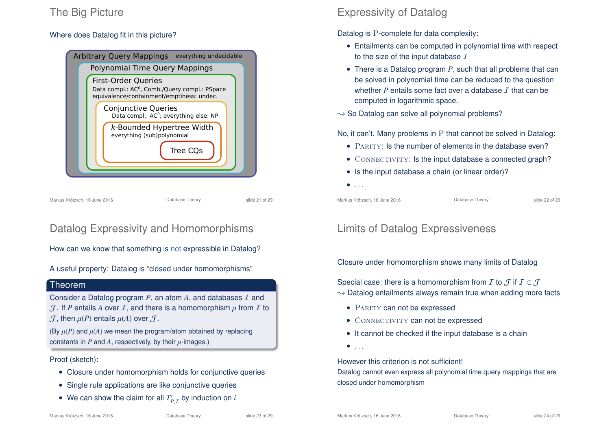# The Big Picture

### Where does Datalog fit in this picture?



Markus Krötzsch, 16 June 2016 **Database Theory** Slide 21 of 29

# Datalog Expressivity and Homomorphisms

How can we know that something is not expressible in Datalog?

A useful property: Datalog is "closed under homomorphisms"

#### **Theorem**

Consider a Datalog program *P*, an atom *A*, and databases I and  $J$ . If *P* entails *A* over *I*, and there is a homomorphism  $\mu$  from *I* to  $J$ , then  $\mu(P)$  entails  $\mu(A)$  over  $J$ .

(By  $\mu(P)$  and  $\mu(A)$  we mean the program/atom obtained by replacing constants in  $P$  and  $A$ , respectively, by their  $\mu$ -images.)

Proof (sketch):

- Closure under homomorphism holds for conjunctive queries
- Single rule applications are like conjunctive queries
- We can show the claim for all  $T_{P,\mathcal{I}}^i$  by induction on  $i$

# Expressivity of Datalog

Datalog is P-complete for data complexity:

- Entailments can be computed in polynomial time with respect to the size of the input database  $I$
- There is a Datalog program *P*, such that all problems that can be solved in polynomial time can be reduced to the question whether  $P$  entails some fact over a database  $I$  that can be computed in logarithmic space.

 $\rightarrow$  So Datalog can solve all polynomial problems?

No, it can't. Many problems in P that cannot be solved in Datalog:

- PARITY: Is the number of elements in the database even?
- CONNECTIVITY: Is the input database a connected graph?
- Is the input database a chain (or linear order)?
- $\bullet$  . . .

Markus Krötzsch, 16 June 2016 **Database Theory** Slide 22 of 29

# Limits of Datalog Expressiveness

Closure under homomorphism shows many limits of Datalog

Special case: there is a homomorphism from *I* to  $\mathcal J$  if  $I \subset \mathcal J$  $\rightarrow$  Datalog entailments always remain true when adding more facts

- PARITY can not be expressed
- CONNECTIVITY can not be expressed
- It cannot be checked if the input database is a chain
- $\bullet$  . . . .

However this criterion is not sufficient!

Datalog cannot even express all polynomial time query mappings that are closed under homomorphism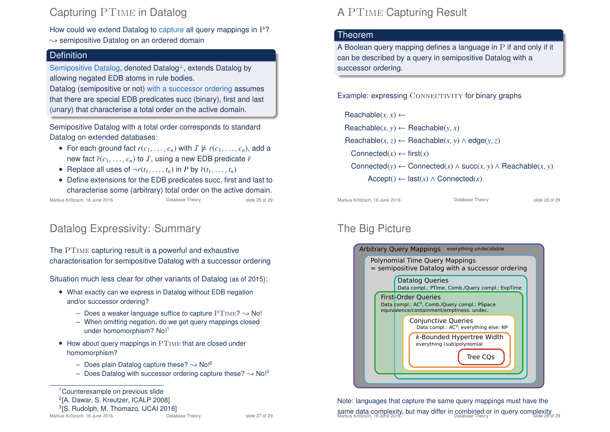# Capturing PTime in Datalog

How could we extend Datalog to capture all query mappings in P?

 $\rightarrow$  semipositive Datalog on an ordered domain

### **Definition**

Semipositive Datalog, denoted Datalog<sup>⊥</sup>, extends Datalog by allowing negated EDB atoms in rule bodies.

Datalog (semipositive or not) with a successor ordering assumes that there are special EDB predicates succ (binary), first and last (unary) that characterise a total order on the active domain.

Semipositive Datalog with a total order corresponds to standard Datalog on extended databases:

- For each ground fact  $r(c_1, \ldots, c_n)$  with  $I \not\models r(c_1, \ldots, c_n)$ , add a new fact  $\bar{r}(c_1, \ldots, c_n)$  to  $\bar{I}$ , using a new EDB predicate  $\bar{r}$
- Replace all uses of  $\neg r(t_1, \ldots, t_n)$  in *P* by  $\bar{r}(t_1, \ldots, t_n)$
- Define extensions for the EDB predicates succ, first and last to characterise some (arbitrary) total order on the active domain.

Markus Krötzsch, 16 June 2016 **Database Theory** Slide 25 of 29

# Datalog Expressivity: Summary

The PTime capturing result is a powerful and exhaustive characterisation for semipositive Datalog with a successor ordering

Situation much less clear for other variants of Datalog (as of 2015):

- What exactly can we express in Datalog without EDB negation and/or successor ordering?
	- Does a weaker language suffice to capture  $PTIME? \rightarrow No!$
	- When omitting negation, do we get query mappings closed under homomorphism? No!<sup>1</sup>
- How about query mappings in PTIME that are closed under homomorphism?
	- Does plain Datalog capture these?  $\sim$  No!<sup>2</sup>
	- Does Datalog with successor ordering capture these?  $\rightarrow$  No!<sup>3</sup>

<sup>1</sup>Counterexample on previous slide

<sup>2</sup>[A. Dawar, S. Kreutzer, ICALP 2008]

# A PTime Capturing Result

### **Theorem**

A Boolean query mapping defines a language in P if and only if it can be described by a query in semipositive Datalog with a successor ordering.

Example: expressing CONNECTIVITY for binary graphs

 $\text{Reachable}(x, x) \leftarrow$  $\text{Reachable}(x, y) \leftarrow \text{Reachable}(y, x)$  $\text{Reachable}(x, z) \leftarrow \text{Reachable}(x, y) \land \text{edge}(y, z)$ Connected $(x) \leftarrow$  first $(x)$ Connected( $y$ ) ← Connected( $x$ )  $\wedge$  succ( $x$ ,  $y$ )  $\wedge$  Reachable( $x$ ,  $y$ )  $Accept() \leftarrow last(x) \wedge Connected(x)$ 

Markus Krötzsch, 16 June 2016 **Database Theory** Slide 26 of 29

# The Big Picture



Note: languages that capture the same query mappings must have the **same data complexity, but may differ in combined or in query complexity**<br>Markus Krötzsch, 16 June 2016